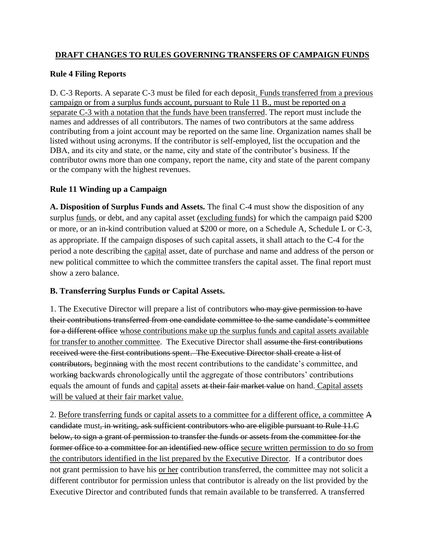## **DRAFT CHANGES TO RULES GOVERNING TRANSFERS OF CAMPAIGN FUNDS**

## **Rule 4 Filing Reports**

D. C-3 Reports. A separate C-3 must be filed for each deposit. Funds transferred from a previous campaign or from a surplus funds account, pursuant to Rule 11 B., must be reported on a separate C-3 with a notation that the funds have been transferred. The report must include the names and addresses of all contributors. The names of two contributors at the same address contributing from a joint account may be reported on the same line. Organization names shall be listed without using acronyms. If the contributor is self-employed, list the occupation and the DBA, and its city and state, or the name, city and state of the contributor's business. If the contributor owns more than one company, report the name, city and state of the parent company or the company with the highest revenues.

## **Rule 11 Winding up a Campaign**

**A. Disposition of Surplus Funds and Assets.** The final C-4 must show the disposition of any surplus <u>funds</u>, or debt, and any capital asset (excluding funds) for which the campaign paid \$200 or more, or an in-kind contribution valued at \$200 or more, on a Schedule A, Schedule L or C-3, as appropriate. If the campaign disposes of such capital assets, it shall attach to the C-4 for the period a note describing the capital asset, date of purchase and name and address of the person or new political committee to which the committee transfers the capital asset. The final report must show a zero balance.

## **B. Transferring Surplus Funds or Capital Assets.**

1. The Executive Director will prepare a list of contributors who may give permission to have their contributions transferred from one candidate committee to the same candidate's committee for a different office whose contributions make up the surplus funds and capital assets available for transfer to another committee. The Executive Director shall assume the first contributions received were the first contributions spent. The Executive Director shall create a list of contributors, beginning with the most recent contributions to the candidate's committee, and working backwards chronologically until the aggregate of those contributors' contributions equals the amount of funds and capital assets at their fair market value on hand. Capital assets will be valued at their fair market value.

2. Before transferring funds or capital assets to a committee for a different office, a committee A candidate must, in writing, ask sufficient contributors who are eligible pursuant to Rule 11.C below, to sign a grant of permission to transfer the funds or assets from the committee for the former office to a committee for an identified new office secure written permission to do so from the contributors identified in the list prepared by the Executive Director. If a contributor does not grant permission to have his or her contribution transferred, the committee may not solicit a different contributor for permission unless that contributor is already on the list provided by the Executive Director and contributed funds that remain available to be transferred. A transferred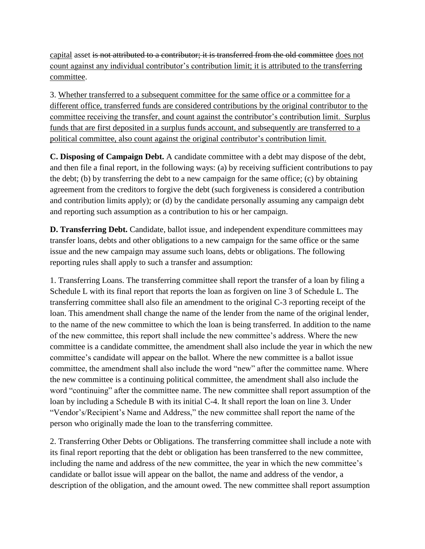capital asset is not attributed to a contributor; it is transferred from the old committee does not count against any individual contributor's contribution limit; it is attributed to the transferring committee.

3. Whether transferred to a subsequent committee for the same office or a committee for a different office, transferred funds are considered contributions by the original contributor to the committee receiving the transfer, and count against the contributor's contribution limit. Surplus funds that are first deposited in a surplus funds account, and subsequently are transferred to a political committee, also count against the original contributor's contribution limit.

**C. Disposing of Campaign Debt.** A candidate committee with a debt may dispose of the debt, and then file a final report, in the following ways: (a) by receiving sufficient contributions to pay the debt; (b) by transferring the debt to a new campaign for the same office; (c) by obtaining agreement from the creditors to forgive the debt (such forgiveness is considered a contribution and contribution limits apply); or (d) by the candidate personally assuming any campaign debt and reporting such assumption as a contribution to his or her campaign.

**D. Transferring Debt.** Candidate, ballot issue, and independent expenditure committees may transfer loans, debts and other obligations to a new campaign for the same office or the same issue and the new campaign may assume such loans, debts or obligations. The following reporting rules shall apply to such a transfer and assumption:

1. Transferring Loans. The transferring committee shall report the transfer of a loan by filing a Schedule L with its final report that reports the loan as forgiven on line 3 of Schedule L. The transferring committee shall also file an amendment to the original C-3 reporting receipt of the loan. This amendment shall change the name of the lender from the name of the original lender, to the name of the new committee to which the loan is being transferred. In addition to the name of the new committee, this report shall include the new committee's address. Where the new committee is a candidate committee, the amendment shall also include the year in which the new committee's candidate will appear on the ballot. Where the new committee is a ballot issue committee, the amendment shall also include the word "new" after the committee name. Where the new committee is a continuing political committee, the amendment shall also include the word "continuing" after the committee name. The new committee shall report assumption of the loan by including a Schedule B with its initial C-4. It shall report the loan on line 3. Under "Vendor's/Recipient's Name and Address," the new committee shall report the name of the person who originally made the loan to the transferring committee.

2. Transferring Other Debts or Obligations. The transferring committee shall include a note with its final report reporting that the debt or obligation has been transferred to the new committee, including the name and address of the new committee, the year in which the new committee's candidate or ballot issue will appear on the ballot, the name and address of the vendor, a description of the obligation, and the amount owed. The new committee shall report assumption